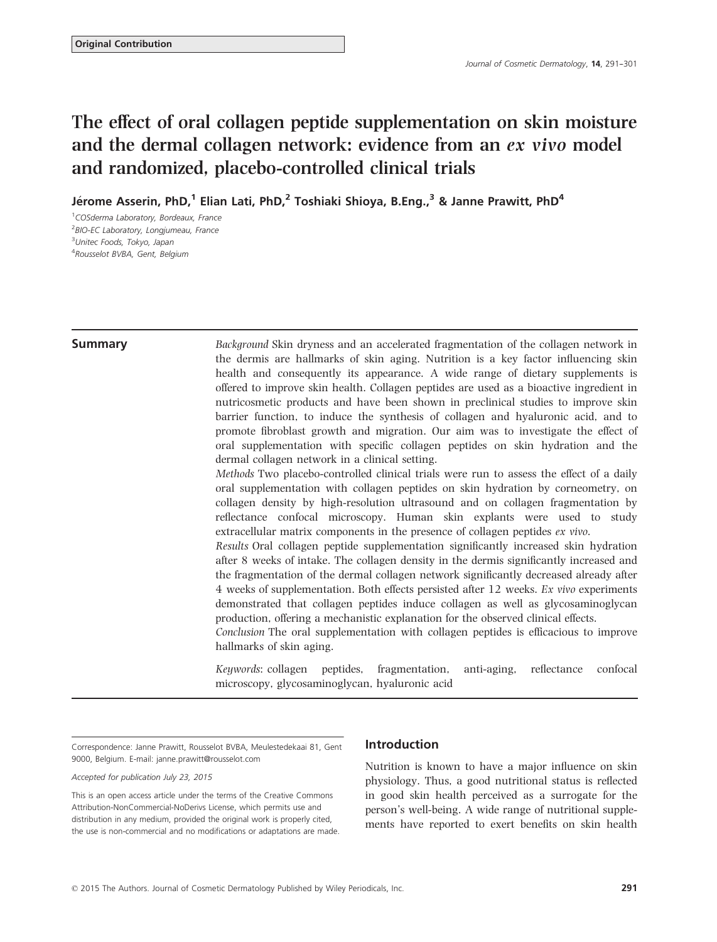# The effect of oral collagen peptide supplementation on skin moisture and the dermal collagen network: evidence from an ex vivo model and randomized, placebo-controlled clinical trials

Jérome Asserin, PhD,<sup>1</sup> Elian Lati, PhD,<sup>2</sup> Toshiaki Shioya, B.Eng.,<sup>3</sup> & Janne Prawitt, PhD<sup>4</sup>

1 COSderma Laboratory, Bordeaux, France <sup>2</sup>BIO-EC Laboratory, Longjumeau, France <sup>3</sup>Unitec Foods, Tokyo, Japan 4 Rousselot BVBA, Gent, Belgium

**Summary** Background Skin dryness and an accelerated fragmentation of the collagen network in the dermis are hallmarks of skin aging. Nutrition is a key factor influencing skin health and consequently its appearance. A wide range of dietary supplements is offered to improve skin health. Collagen peptides are used as a bioactive ingredient in nutricosmetic products and have been shown in preclinical studies to improve skin barrier function, to induce the synthesis of collagen and hyaluronic acid, and to promote fibroblast growth and migration. Our aim was to investigate the effect of oral supplementation with specific collagen peptides on skin hydration and the dermal collagen network in a clinical setting.

> Methods Two placebo-controlled clinical trials were run to assess the effect of a daily oral supplementation with collagen peptides on skin hydration by corneometry, on collagen density by high-resolution ultrasound and on collagen fragmentation by reflectance confocal microscopy. Human skin explants were used to study extracellular matrix components in the presence of collagen peptides ex vivo.

> Results Oral collagen peptide supplementation significantly increased skin hydration after 8 weeks of intake. The collagen density in the dermis significantly increased and the fragmentation of the dermal collagen network significantly decreased already after 4 weeks of supplementation. Both effects persisted after 12 weeks. Ex vivo experiments demonstrated that collagen peptides induce collagen as well as glycosaminoglycan production, offering a mechanistic explanation for the observed clinical effects.

> Conclusion The oral supplementation with collagen peptides is efficacious to improve hallmarks of skin aging.

> Keywords: collagen peptides, fragmentation, anti-aging, reflectance confocal microscopy, glycosaminoglycan, hyaluronic acid

Correspondence: Janne Prawitt, Rousselot BVBA, Meulestedekaai 81, Gent 9000, Belgium. E-mail: janne.prawitt@rousselot.com

Accepted for publication July 23, 2015

This is an open access article under the terms of the [Creative Commons](http://creativecommons.org/licenses/by-nc-nd/4.0/) [Attribution-NonCommercial-NoDerivs](http://creativecommons.org/licenses/by-nc-nd/4.0/) License, which permits use and distribution in any medium, provided the original work is properly cited, the use is non-commercial and no modifications or adaptations are made.

# Introduction

Nutrition is known to have a major influence on skin physiology. Thus, a good nutritional status is reflected in good skin health perceived as a surrogate for the person's well-being. A wide range of nutritional supplements have reported to exert benefits on skin health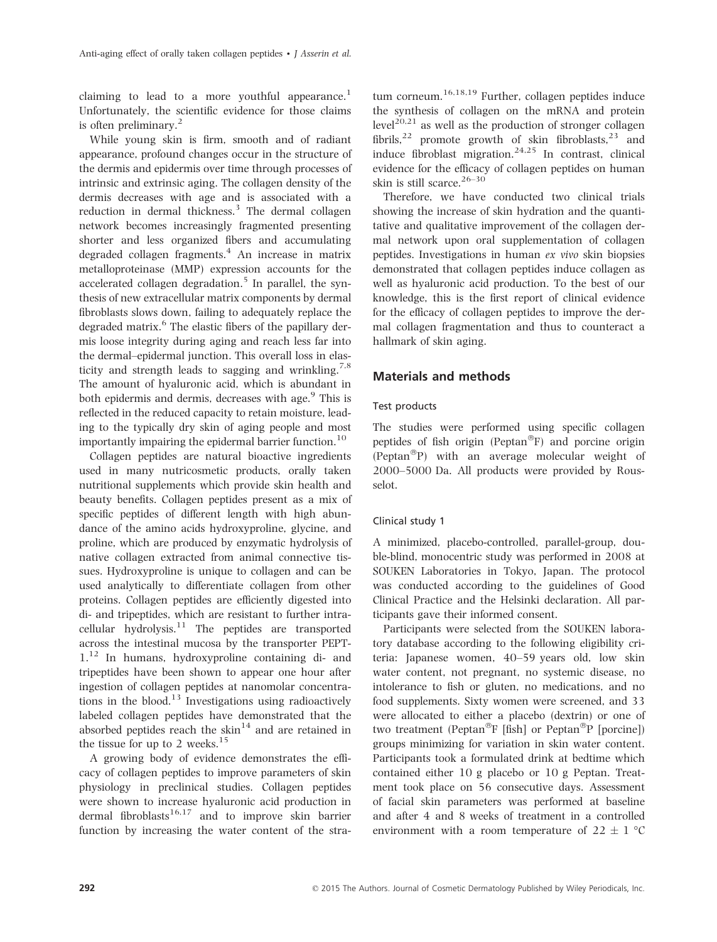claiming to lead to a more youthful appearance.<sup>1</sup> Unfortunately, the scientific evidence for those claims is often preliminary.<sup>2</sup>

While young skin is firm, smooth and of radiant appearance, profound changes occur in the structure of the dermis and epidermis over time through processes of intrinsic and extrinsic aging. The collagen density of the dermis decreases with age and is associated with a reduction in dermal thickness. $3$  The dermal collagen network becomes increasingly fragmented presenting shorter and less organized fibers and accumulating degraded collagen fragments.<sup>4</sup> An increase in matrix metalloproteinase (MMP) expression accounts for the accelerated collagen degradation. $5$  In parallel, the synthesis of new extracellular matrix components by dermal fibroblasts slows down, failing to adequately replace the degraded matrix.<sup>6</sup> The elastic fibers of the papillary dermis loose integrity during aging and reach less far into the dermal–epidermal junction. This overall loss in elasticity and strength leads to sagging and wrinkling.<sup>7,8</sup> The amount of hyaluronic acid, which is abundant in both epidermis and dermis, decreases with age.<sup>9</sup> This is reflected in the reduced capacity to retain moisture, leading to the typically dry skin of aging people and most importantly impairing the epidermal barrier function.<sup>10</sup>

Collagen peptides are natural bioactive ingredients used in many nutricosmetic products, orally taken nutritional supplements which provide skin health and beauty benefits. Collagen peptides present as a mix of specific peptides of different length with high abundance of the amino acids hydroxyproline, glycine, and proline, which are produced by enzymatic hydrolysis of native collagen extracted from animal connective tissues. Hydroxyproline is unique to collagen and can be used analytically to differentiate collagen from other proteins. Collagen peptides are efficiently digested into di- and tripeptides, which are resistant to further intracellular hydrolysis. $11$  The peptides are transported across the intestinal mucosa by the transporter PEPT-1.<sup>12</sup> In humans, hydroxyproline containing di- and tripeptides have been shown to appear one hour after ingestion of collagen peptides at nanomolar concentrations in the blood.<sup>13</sup> Investigations using radioactively labeled collagen peptides have demonstrated that the absorbed peptides reach the  $\sin^{14}$  and are retained in the tissue for up to 2 weeks. $15$ 

A growing body of evidence demonstrates the efficacy of collagen peptides to improve parameters of skin physiology in preclinical studies. Collagen peptides were shown to increase hyaluronic acid production in dermal fibroblasts $16,17$  and to improve skin barrier function by increasing the water content of the stra-

tum corneum.<sup>16,18,19</sup> Further, collagen peptides induce the synthesis of collagen on the mRNA and protein  $level<sup>20,21</sup>$  as well as the production of stronger collagen fibrils,  $2^2$  promote growth of skin fibroblasts,  $2^3$  and induce fibroblast migration. $24.25$  In contrast, clinical evidence for the efficacy of collagen peptides on human skin is still scarce.<sup>26-30</sup>

Therefore, we have conducted two clinical trials showing the increase of skin hydration and the quantitative and qualitative improvement of the collagen dermal network upon oral supplementation of collagen peptides. Investigations in human ex vivo skin biopsies demonstrated that collagen peptides induce collagen as well as hyaluronic acid production. To the best of our knowledge, this is the first report of clinical evidence for the efficacy of collagen peptides to improve the dermal collagen fragmentation and thus to counteract a hallmark of skin aging.

# Materials and methods

# Test products

The studies were performed using specific collagen peptides of fish origin (Peptan<sup>®</sup>F) and porcine origin (Peptan<sup>®</sup>P) with an average molecular weight of 2000–5000 Da. All products were provided by Rousselot.

## Clinical study 1

A minimized, placebo-controlled, parallel-group, double-blind, monocentric study was performed in 2008 at SOUKEN Laboratories in Tokyo, Japan. The protocol was conducted according to the guidelines of Good Clinical Practice and the Helsinki declaration. All participants gave their informed consent.

Participants were selected from the SOUKEN laboratory database according to the following eligibility criteria: Japanese women, 40–59 years old, low skin water content, not pregnant, no systemic disease, no intolerance to fish or gluten, no medications, and no food supplements. Sixty women were screened, and 33 were allocated to either a placebo (dextrin) or one of two treatment (Peptan<sup>®</sup>F [fish] or Peptan<sup>®</sup>P [porcine]) groups minimizing for variation in skin water content. Participants took a formulated drink at bedtime which contained either 10 g placebo or 10 g Peptan. Treatment took place on 56 consecutive days. Assessment of facial skin parameters was performed at baseline and after 4 and 8 weeks of treatment in a controlled environment with a room temperature of  $22 \pm 1$  °C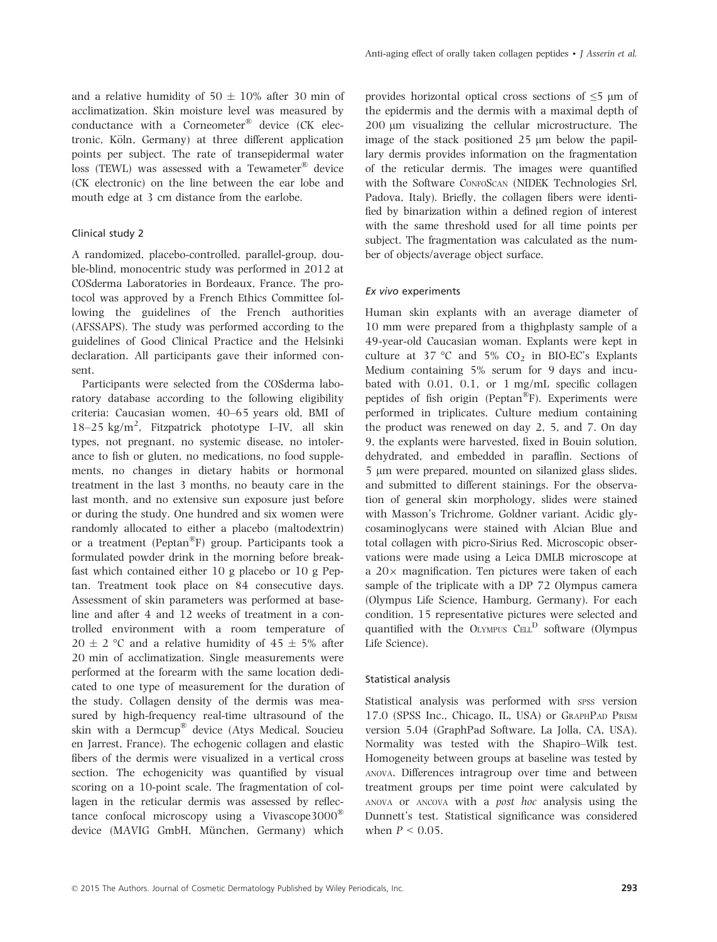and a relative humidity of  $50 \pm 10\%$  after 30 min of acclimatization. Skin moisture level was measured by conductance with a Corneometer® device (CK electronic, Köln, Germany) at three different application points per subject. The rate of transepidermal water loss (TEWL) was assessed with a Tewameter® device (CK electronic) on the line between the ear lobe and mouth edge at 3 cm distance from the earlobe.

### Clinical study 2

A randomized, placebo-controlled, parallel-group, double-blind, monocentric study was performed in 2012 at COSderma Laboratories in Bordeaux, France. The protocol was approved by a French Ethics Committee following the guidelines of the French authorities (AFSSAPS). The study was performed according to the guidelines of Good Clinical Practice and the Helsinki declaration. All participants gave their informed consent.

Participants were selected from the COSderma laboratory database according to the following eligibility criteria: Caucasian women, 40–65 years old, BMI of 18–25 kg/m<sup>2</sup> , Fitzpatrick phototype I–IV, all skin types, not pregnant, no systemic disease, no intolerance to fish or gluten, no medications, no food supplements, no changes in dietary habits or hormonal treatment in the last 3 months, no beauty care in the last month, and no extensive sun exposure just before or during the study. One hundred and six women were randomly allocated to either a placebo (maltodextrin) or a treatment (Peptan®F) group. Participants took a formulated powder drink in the morning before breakfast which contained either 10 g placebo or 10 g Peptan. Treatment took place on 84 consecutive days. Assessment of skin parameters was performed at baseline and after 4 and 12 weeks of treatment in a controlled environment with a room temperature of  $20 \pm 2$  °C and a relative humidity of  $45 \pm 5\%$  after 20 min of acclimatization. Single measurements were performed at the forearm with the same location dedicated to one type of measurement for the duration of the study. Collagen density of the dermis was measured by high-frequency real-time ultrasound of the skin with a Dermcup® device (Atys Medical, Soucieu en Jarrest, France). The echogenic collagen and elastic fibers of the dermis were visualized in a vertical cross section. The echogenicity was quantified by visual scoring on a 10-point scale. The fragmentation of collagen in the reticular dermis was assessed by reflectance confocal microscopy using a Vivascope3000® device (MAVIG GmbH, München, Germany) which

provides horizontal optical cross sections of  $\leq 5$  µm of the epidermis and the dermis with a maximal depth of 200 lm visualizing the cellular microstructure. The image of the stack positioned 25 µm below the papillary dermis provides information on the fragmentation of the reticular dermis. The images were quantified with the Software CONFOSCAN (NIDEK Technologies Srl, Padova, Italy). Briefly, the collagen fibers were identified by binarization within a defined region of interest with the same threshold used for all time points per subject. The fragmentation was calculated as the number of objects/average object surface.

#### Ex vivo experiments

Human skin explants with an average diameter of 10 mm were prepared from a thighplasty sample of a 49-year-old Caucasian woman. Explants were kept in culture at 37 °C and 5%  $CO<sub>2</sub>$  in BIO-EC's Explants Medium containing 5% serum for 9 days and incubated with 0.01, 0.1, or 1 mg/mL specific collagen peptides of fish origin (Peptan<sup>®</sup>F). Experiments were performed in triplicates. Culture medium containing the product was renewed on day 2, 5, and 7. On day 9, the explants were harvested, fixed in Bouin solution, dehydrated, and embedded in paraffin. Sections of 5 lm were prepared, mounted on silanized glass slides, and submitted to different stainings. For the observation of general skin morphology, slides were stained with Masson's Trichrome, Goldner variant. Acidic glycosaminoglycans were stained with Alcian Blue and total collagen with picro-Sirius Red. Microscopic observations were made using a Leica DMLB microscope at a  $20\times$  magnification. Ten pictures were taken of each sample of the triplicate with a DP 72 Olympus camera (Olympus Life Science, Hamburg, Germany). For each condition, 15 representative pictures were selected and quantified with the  $O_L$ <sub>MPUS</sub>  $C_{ELL}$ <sup>D</sup> software (Olympus Life Science).

#### Statistical analysis

Statistical analysis was performed with spss version 17.0 (SPSS Inc., Chicago, IL, USA) or GRAPHPAD PRISM version 5.04 (GraphPad Software, La Jolla, CA, USA). Normality was tested with the Shapiro–Wilk test. Homogeneity between groups at baseline was tested by ANOVA. Differences intragroup over time and between treatment groups per time point were calculated by ANOVA or ANCOVA with a post hoc analysis using the Dunnett's test. Statistical significance was considered when  $P < 0.05$ .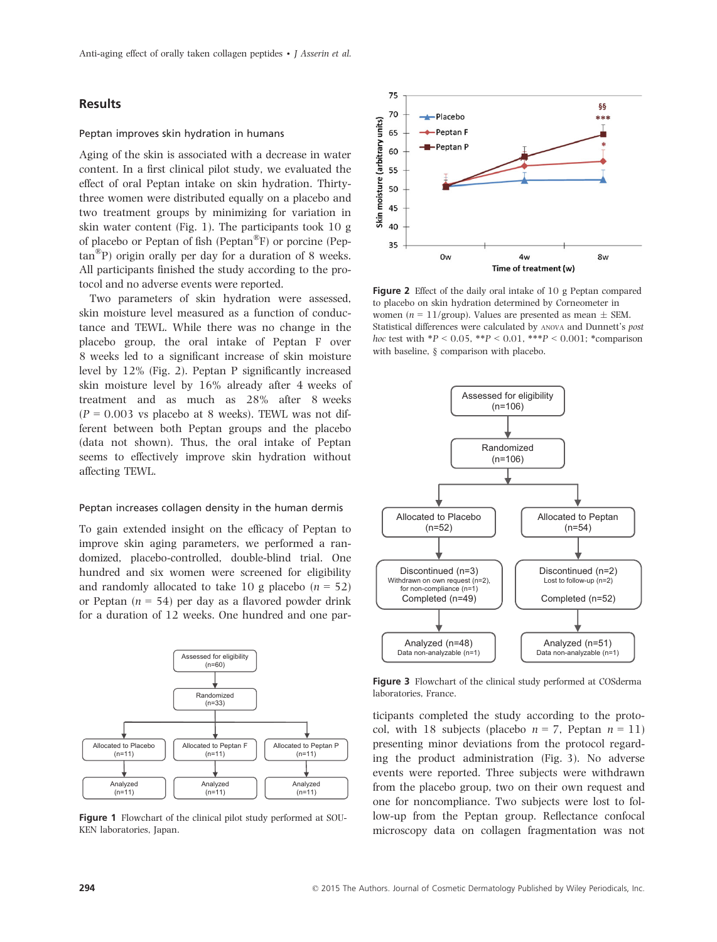# Results

#### Peptan improves skin hydration in humans

Aging of the skin is associated with a decrease in water content. In a first clinical pilot study, we evaluated the effect of oral Peptan intake on skin hydration. Thirtythree women were distributed equally on a placebo and two treatment groups by minimizing for variation in skin water content (Fig. 1). The participants took 10 g of placebo or Peptan of fish (Peptan®F) or porcine (Pep $tan^{\circledR}P$ ) origin orally per day for a duration of 8 weeks. All participants finished the study according to the protocol and no adverse events were reported.

Two parameters of skin hydration were assessed, skin moisture level measured as a function of conductance and TEWL. While there was no change in the placebo group, the oral intake of Peptan F over 8 weeks led to a significant increase of skin moisture level by 12% (Fig. 2). Peptan P significantly increased skin moisture level by 16% already after 4 weeks of treatment and as much as 28% after 8 weeks  $(P = 0.003$  vs placebo at 8 weeks). TEWL was not different between both Peptan groups and the placebo (data not shown). Thus, the oral intake of Peptan seems to effectively improve skin hydration without affecting TEWL.

#### Peptan increases collagen density in the human dermis

To gain extended insight on the efficacy of Peptan to improve skin aging parameters, we performed a randomized, placebo-controlled, double-blind trial. One hundred and six women were screened for eligibility and randomly allocated to take 10 g placebo  $(n = 52)$ or Peptan ( $n = 54$ ) per day as a flavored powder drink for a duration of 12 weeks. One hundred and one par-



Figure 1 Flowchart of the clinical pilot study performed at SOU-KEN laboratories, Japan.



Figure 2 Effect of the daily oral intake of 10 g Peptan compared to placebo on skin hydration determined by Corneometer in women ( $n = 11/\text{group}$ ). Values are presented as mean  $\pm$  SEM. Statistical differences were calculated by ANOVA and Dunnett's post hoc test with  $*P < 0.05$ ,  $*P < 0.01$ ,  $**P < 0.001$ ;  $*comparison$ with baseline, § comparison with placebo.



Figure 3 Flowchart of the clinical study performed at COSderma laboratories, France.

ticipants completed the study according to the protocol, with 18 subjects (placebo  $n = 7$ , Peptan  $n = 11$ ) presenting minor deviations from the protocol regarding the product administration (Fig. 3). No adverse events were reported. Three subjects were withdrawn from the placebo group, two on their own request and one for noncompliance. Two subjects were lost to follow-up from the Peptan group. Reflectance confocal microscopy data on collagen fragmentation was not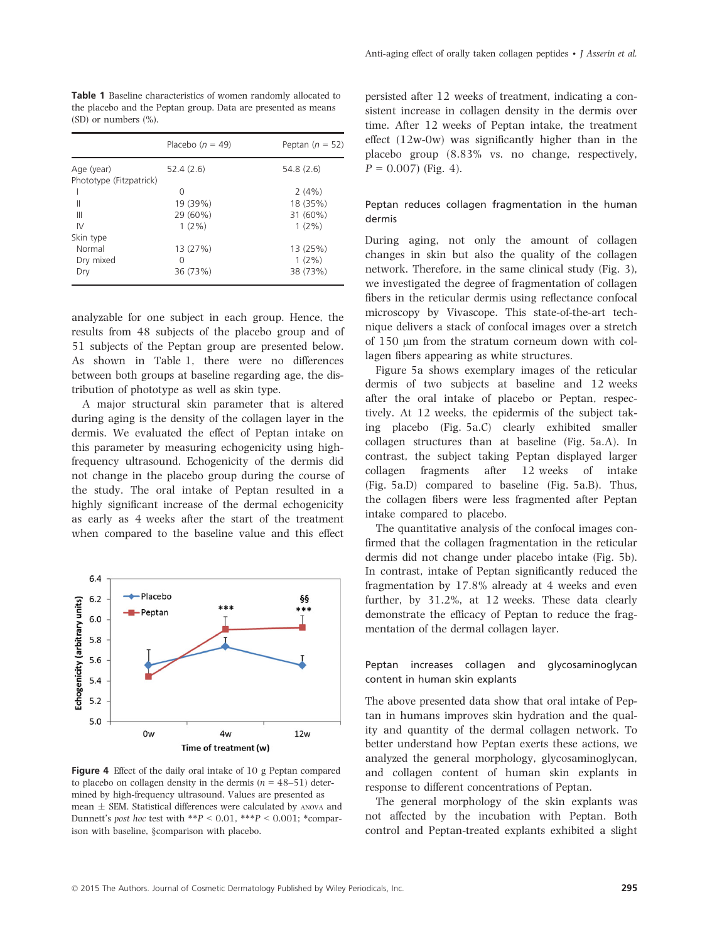|                         | Placebo ( $n = 49$ ) | Peptan $(n = 52)$ |
|-------------------------|----------------------|-------------------|
| Age (year)              | 52.4(2.6)            | 54.8(2.6)         |
| Phototype (Fitzpatrick) |                      |                   |
| ı                       | 0                    | 2(4%)             |
| Ш                       | 19 (39%)             | 18 (35%)          |
| Ш                       | 29 (60%)             | 31 (60%)          |
| IV                      | $1(2\%)$             | $1(2\%)$          |
| Skin type               |                      |                   |
| Normal                  | 13 (27%)             | 13 (25%)          |
| Dry mixed               | O                    | $1(2\%)$          |
| Dry                     | 36 (73%)             | 38 (73%)          |

Table 1 Baseline characteristics of women randomly allocated to the placebo and the Peptan group. Data are presented as means (SD) or numbers (%).

analyzable for one subject in each group. Hence, the results from 48 subjects of the placebo group and of 51 subjects of the Peptan group are presented below. As shown in Table 1, there were no differences between both groups at baseline regarding age, the distribution of phototype as well as skin type.

A major structural skin parameter that is altered during aging is the density of the collagen layer in the dermis. We evaluated the effect of Peptan intake on this parameter by measuring echogenicity using highfrequency ultrasound. Echogenicity of the dermis did not change in the placebo group during the course of the study. The oral intake of Peptan resulted in a highly significant increase of the dermal echogenicity as early as 4 weeks after the start of the treatment when compared to the baseline value and this effect



Figure 4 Effect of the daily oral intake of 10 g Peptan compared to placebo on collagen density in the dermis  $(n = 48-51)$  determined by high-frequency ultrasound. Values are presented as mean  $\pm$  SEM. Statistical differences were calculated by ANOVA and Dunnett's post hoc test with  $*P < 0.01$ ,  $**P < 0.001$ ;  $*compar$ ison with baseline, §comparison with placebo.

persisted after 12 weeks of treatment, indicating a consistent increase in collagen density in the dermis over time. After 12 weeks of Peptan intake, the treatment effect (12w-0w) was significantly higher than in the placebo group (8.83% vs. no change, respectively,  $P = 0.007$ ) (Fig. 4).

# Peptan reduces collagen fragmentation in the human dermis

During aging, not only the amount of collagen changes in skin but also the quality of the collagen network. Therefore, in the same clinical study (Fig. 3), we investigated the degree of fragmentation of collagen fibers in the reticular dermis using reflectance confocal microscopy by Vivascope. This state-of-the-art technique delivers a stack of confocal images over a stretch of 150 lm from the stratum corneum down with collagen fibers appearing as white structures.

Figure 5a shows exemplary images of the reticular dermis of two subjects at baseline and 12 weeks after the oral intake of placebo or Peptan, respectively. At 12 weeks, the epidermis of the subject taking placebo (Fig. 5a.C) clearly exhibited smaller collagen structures than at baseline (Fig. 5a.A). In contrast, the subject taking Peptan displayed larger collagen fragments after 12 weeks of intake (Fig. 5a.D) compared to baseline (Fig. 5a.B). Thus, the collagen fibers were less fragmented after Peptan intake compared to placebo.

The quantitative analysis of the confocal images confirmed that the collagen fragmentation in the reticular dermis did not change under placebo intake (Fig. 5b). In contrast, intake of Peptan significantly reduced the fragmentation by 17.8% already at 4 weeks and even further, by 31.2%, at 12 weeks. These data clearly demonstrate the efficacy of Peptan to reduce the fragmentation of the dermal collagen layer.

# Peptan increases collagen and glycosaminoglycan content in human skin explants

The above presented data show that oral intake of Peptan in humans improves skin hydration and the quality and quantity of the dermal collagen network. To better understand how Peptan exerts these actions, we analyzed the general morphology, glycosaminoglycan, and collagen content of human skin explants in response to different concentrations of Peptan.

The general morphology of the skin explants was not affected by the incubation with Peptan. Both control and Peptan-treated explants exhibited a slight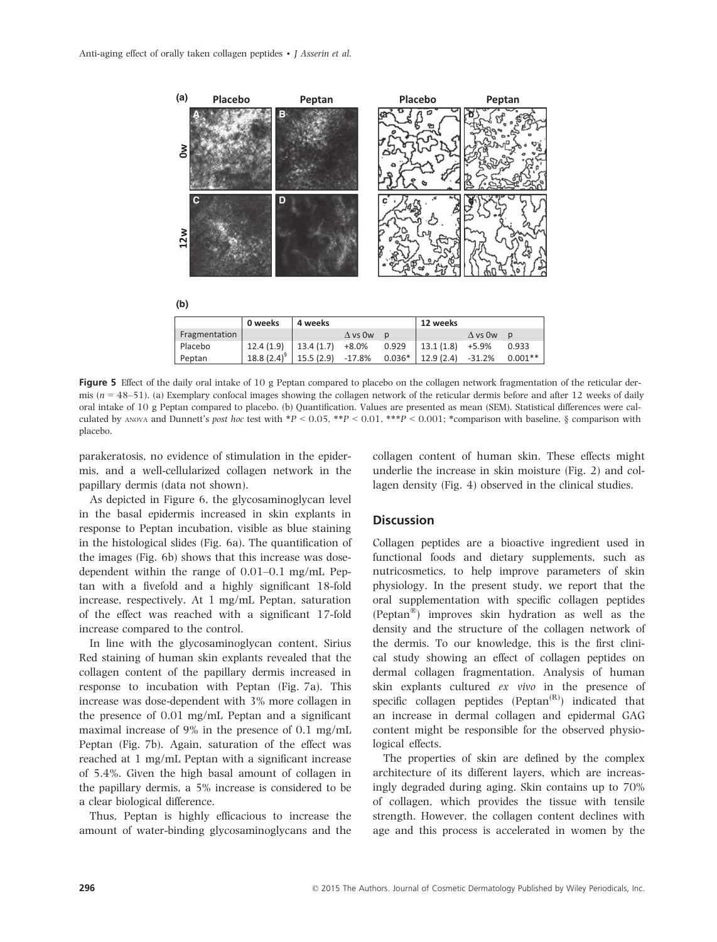

Figure 5 Effect of the daily oral intake of 10 g Peptan compared to placebo on the collagen network fragmentation of the reticular dermis ( $n = 48-51$ ). (a) Exemplary confocal images showing the collagen network of the reticular dermis before and after 12 weeks of daily oral intake of 10 g Peptan compared to placebo. (b) Quantification. Values are presented as mean (SEM). Statistical differences were calculated by ANOVA and Dunnett's post hoc test with \*P < 0.05, \*\*P < 0.01, \*\*\*P < 0.001; \*comparison with baseline, § comparison with placebo.

parakeratosis, no evidence of stimulation in the epidermis, and a well-cellularized collagen network in the papillary dermis (data not shown).

As depicted in Figure 6, the glycosaminoglycan level in the basal epidermis increased in skin explants in response to Peptan incubation, visible as blue staining in the histological slides (Fig. 6a). The quantification of the images (Fig. 6b) shows that this increase was dosedependent within the range of 0.01–0.1 mg/mL Peptan with a fivefold and a highly significant 18-fold increase, respectively. At 1 mg/mL Peptan, saturation of the effect was reached with a significant 17-fold increase compared to the control.

In line with the glycosaminoglycan content, Sirius Red staining of human skin explants revealed that the collagen content of the papillary dermis increased in response to incubation with Peptan (Fig. 7a). This increase was dose-dependent with 3% more collagen in the presence of 0.01 mg/mL Peptan and a significant maximal increase of 9% in the presence of 0.1 mg/mL Peptan (Fig. 7b). Again, saturation of the effect was reached at 1 mg/mL Peptan with a significant increase of 5.4%. Given the high basal amount of collagen in the papillary dermis, a 5% increase is considered to be a clear biological difference.

Thus, Peptan is highly efficacious to increase the amount of water-binding glycosaminoglycans and the collagen content of human skin. These effects might underlie the increase in skin moisture (Fig. 2) and collagen density (Fig. 4) observed in the clinical studies.

# **Discussion**

Collagen peptides are a bioactive ingredient used in functional foods and dietary supplements, such as nutricosmetics, to help improve parameters of skin physiology. In the present study, we report that the oral supplementation with specific collagen peptides (Peptan®) improves skin hydration as well as the density and the structure of the collagen network of the dermis. To our knowledge, this is the first clinical study showing an effect of collagen peptides on dermal collagen fragmentation. Analysis of human skin explants cultured ex vivo in the presence of specific collagen peptides  $(Peptan^{(R)})$  indicated that an increase in dermal collagen and epidermal GAG content might be responsible for the observed physiological effects.

The properties of skin are defined by the complex architecture of its different layers, which are increasingly degraded during aging. Skin contains up to 70% of collagen, which provides the tissue with tensile strength. However, the collagen content declines with age and this process is accelerated in women by the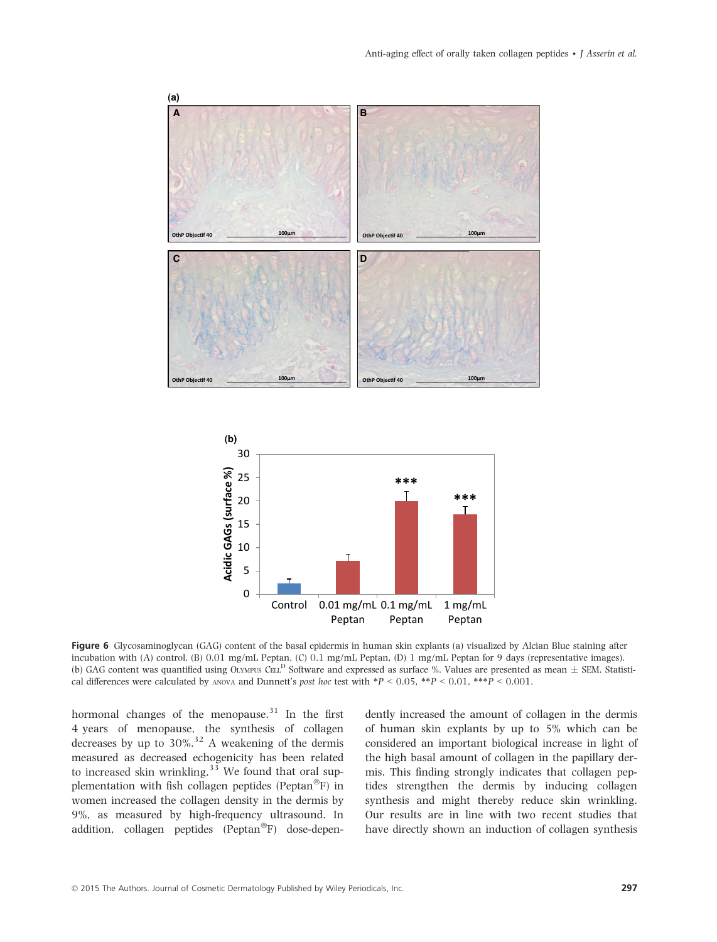

Figure 6 Glycosaminoglycan (GAG) content of the basal epidermis in human skin explants (a) visualized by Alcian Blue staining after incubation with (A) control, (B) 0.01 mg/mL Peptan, (C) 0.1 mg/mL Peptan, (D) 1 mg/mL Peptan for 9 days (representative images). (b) GAG content was quantified using OLYMPUS CELL<sup>D</sup> Software and expressed as surface %. Values are presented as mean  $\pm$  SEM. Statistical differences were calculated by ANOVA and Dunnett's post hoc test with \*P < 0.05, \*\*P < 0.01, \*\*\*P < 0.001.

hormonal changes of the menopause.<sup>31</sup> In the first 4 years of menopause, the synthesis of collagen decreases by up to  $30\%$ .<sup>32</sup> A weakening of the dermis measured as decreased echogenicity has been related to increased skin wrinkling. $33$  We found that oral supplementation with fish collagen peptides (Peptan<sup>®</sup>F) in women increased the collagen density in the dermis by 9%, as measured by high-frequency ultrasound. In addition, collagen peptides  $(Peptan^{\circledR}F)$  dose-depen-

dently increased the amount of collagen in the dermis of human skin explants by up to 5% which can be considered an important biological increase in light of the high basal amount of collagen in the papillary dermis. This finding strongly indicates that collagen peptides strengthen the dermis by inducing collagen synthesis and might thereby reduce skin wrinkling. Our results are in line with two recent studies that have directly shown an induction of collagen synthesis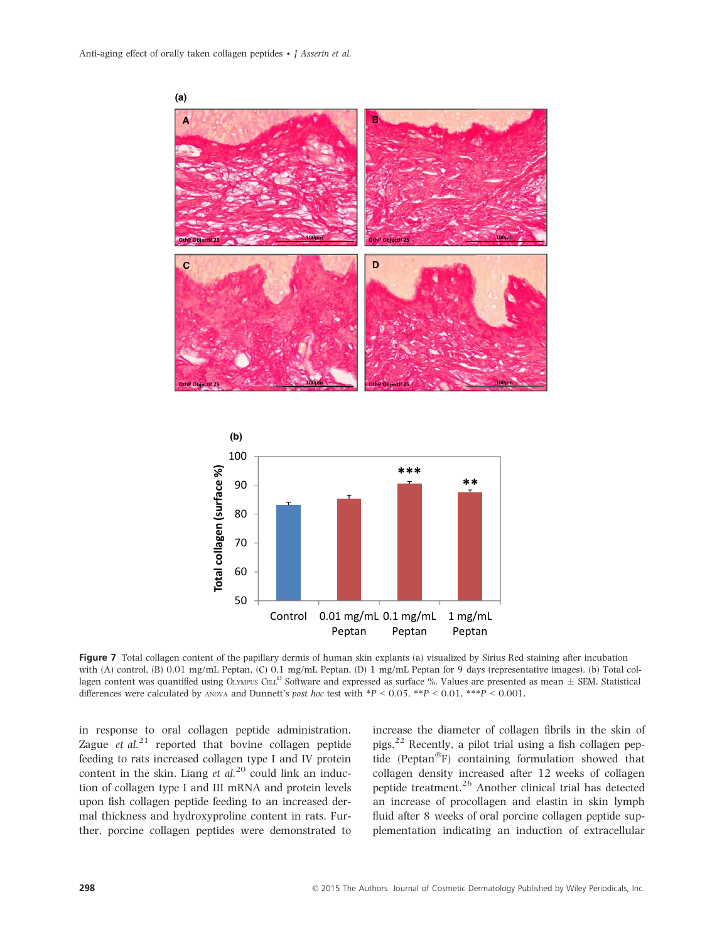![](_page_7_Figure_1.jpeg)

![](_page_7_Figure_2.jpeg)

Figure 7 Total collagen content of the papillary dermis of human skin explants (a) visualized by Sirius Red staining after incubation with (A) control, (B) 0.01 mg/mL Peptan, (C) 0.1 mg/mL Peptan, (D) 1 mg/mL Peptan for 9 days (representative images). (b) Total collagen content was quantified using OLYMPUS CELL<sup>D</sup> Software and expressed as surface %. Values are presented as mean  $\pm$  SEM. Statistical differences were calculated by ANOVA and Dunnett's post hoc test with  $*P < 0.05$ ,  $*P < 0.01$ ,  $*PP < 0.001$ .

in response to oral collagen peptide administration. Zague  $et al.<sup>21</sup>$  reported that bovine collagen peptide feeding to rats increased collagen type I and IV protein content in the skin. Liang et  $al.^{20}$  could link an induction of collagen type I and III mRNA and protein levels upon fish collagen peptide feeding to an increased dermal thickness and hydroxyproline content in rats. Further, porcine collagen peptides were demonstrated to increase the diameter of collagen fibrils in the skin of pigs.22 Recently, a pilot trial using a fish collagen peptide (Peptan®F) containing formulation showed that collagen density increased after 12 weeks of collagen peptide treatment.<sup>26</sup> Another clinical trial has detected an increase of procollagen and elastin in skin lymph fluid after 8 weeks of oral porcine collagen peptide supplementation indicating an induction of extracellular

**(a)**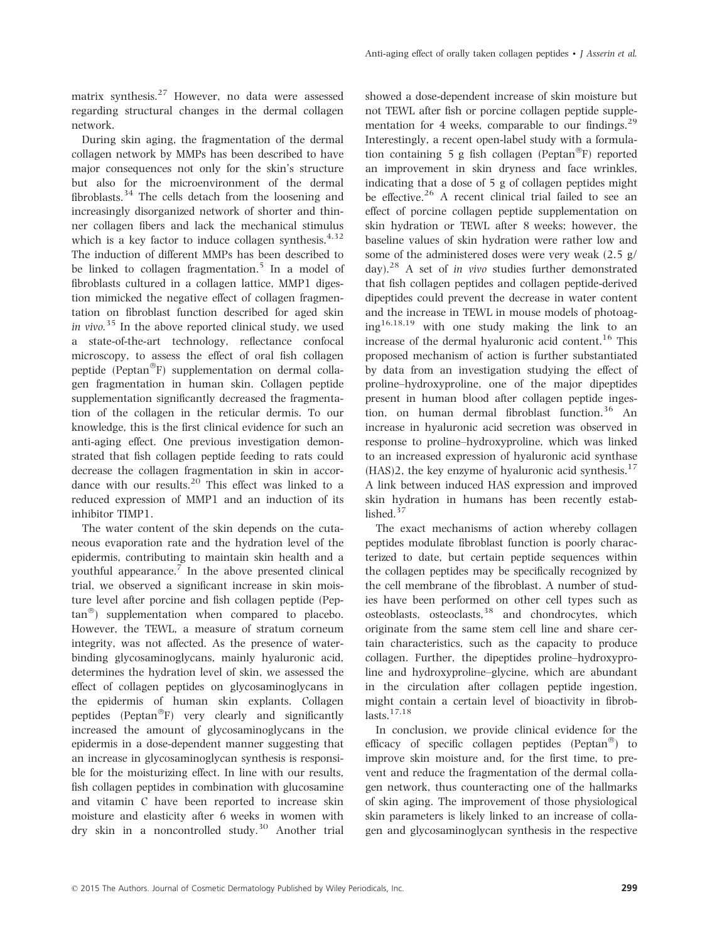matrix synthesis.<sup>27</sup> However, no data were assessed regarding structural changes in the dermal collagen network.

During skin aging, the fragmentation of the dermal collagen network by MMPs has been described to have major consequences not only for the skin's structure but also for the microenvironment of the dermal fibroblasts.<sup>34</sup> The cells detach from the loosening and increasingly disorganized network of shorter and thinner collagen fibers and lack the mechanical stimulus which is a key factor to induce collagen synthesis.<sup>4,32</sup> The induction of different MMPs has been described to be linked to collagen fragmentation.<sup>5</sup> In a model of fibroblasts cultured in a collagen lattice, MMP1 digestion mimicked the negative effect of collagen fragmentation on fibroblast function described for aged skin in vivo.<sup>35</sup> In the above reported clinical study, we used a state-of-the-art technology, reflectance confocal microscopy, to assess the effect of oral fish collagen peptide (Peptan<sup>®</sup>F) supplementation on dermal collagen fragmentation in human skin. Collagen peptide supplementation significantly decreased the fragmentation of the collagen in the reticular dermis. To our knowledge, this is the first clinical evidence for such an anti-aging effect. One previous investigation demonstrated that fish collagen peptide feeding to rats could decrease the collagen fragmentation in skin in accordance with our results. $20$  This effect was linked to a reduced expression of MMP1 and an induction of its inhibitor TIMP1.

The water content of the skin depends on the cutaneous evaporation rate and the hydration level of the epidermis, contributing to maintain skin health and a youthful appearance. $<sup>7</sup>$  In the above presented clinical</sup> trial, we observed a significant increase in skin moisture level after porcine and fish collagen peptide (Pep $tan<sup>®</sup>$  supplementation when compared to placebo. However, the TEWL, a measure of stratum corneum integrity, was not affected. As the presence of waterbinding glycosaminoglycans, mainly hyaluronic acid, determines the hydration level of skin, we assessed the effect of collagen peptides on glycosaminoglycans in the epidermis of human skin explants. Collagen peptides (Peptan $^{\circ}$ F) very clearly and significantly increased the amount of glycosaminoglycans in the epidermis in a dose-dependent manner suggesting that an increase in glycosaminoglycan synthesis is responsible for the moisturizing effect. In line with our results, fish collagen peptides in combination with glucosamine and vitamin C have been reported to increase skin moisture and elasticity after 6 weeks in women with dry skin in a noncontrolled study.<sup>30</sup> Another trial

showed a dose-dependent increase of skin moisture but not TEWL after fish or porcine collagen peptide supplementation for 4 weeks, comparable to our findings. $^{29}$ Interestingly, a recent open-label study with a formulation containing 5 g fish collagen (Peptan<sup>®</sup>F) reported an improvement in skin dryness and face wrinkles, indicating that a dose of 5 g of collagen peptides might be effective.<sup>26</sup> A recent clinical trial failed to see an effect of porcine collagen peptide supplementation on skin hydration or TEWL after 8 weeks; however, the baseline values of skin hydration were rather low and some of the administered doses were very weak (2.5 g/  $\frac{128}{9}$  A set of *in vivo* studies further demonstrated that fish collagen peptides and collagen peptide-derived dipeptides could prevent the decrease in water content and the increase in TEWL in mouse models of photoag $ing^{16,18,19}$  with one study making the link to an increase of the dermal hyaluronic acid content.<sup>16</sup> This proposed mechanism of action is further substantiated by data from an investigation studying the effect of proline–hydroxyproline, one of the major dipeptides present in human blood after collagen peptide ingestion, on human dermal fibroblast function.<sup>36</sup> An increase in hyaluronic acid secretion was observed in response to proline–hydroxyproline, which was linked to an increased expression of hyaluronic acid synthase  $(HAS)$ 2, the key enzyme of hyaluronic acid synthesis.<sup>17</sup> A link between induced HAS expression and improved skin hydration in humans has been recently established.<sup>37</sup>

The exact mechanisms of action whereby collagen peptides modulate fibroblast function is poorly characterized to date, but certain peptide sequences within the collagen peptides may be specifically recognized by the cell membrane of the fibroblast. A number of studies have been performed on other cell types such as osteoblasts, osteoclasts,<sup>38</sup> and chondrocytes, which originate from the same stem cell line and share certain characteristics, such as the capacity to produce collagen. Further, the dipeptides proline–hydroxyproline and hydroxyproline–glycine, which are abundant in the circulation after collagen peptide ingestion, might contain a certain level of bioactivity in fibroblasts.<sup>17,18</sup>

In conclusion, we provide clinical evidence for the efficacy of specific collagen peptides (Peptan<sup>®</sup>) to improve skin moisture and, for the first time, to prevent and reduce the fragmentation of the dermal collagen network, thus counteracting one of the hallmarks of skin aging. The improvement of those physiological skin parameters is likely linked to an increase of collagen and glycosaminoglycan synthesis in the respective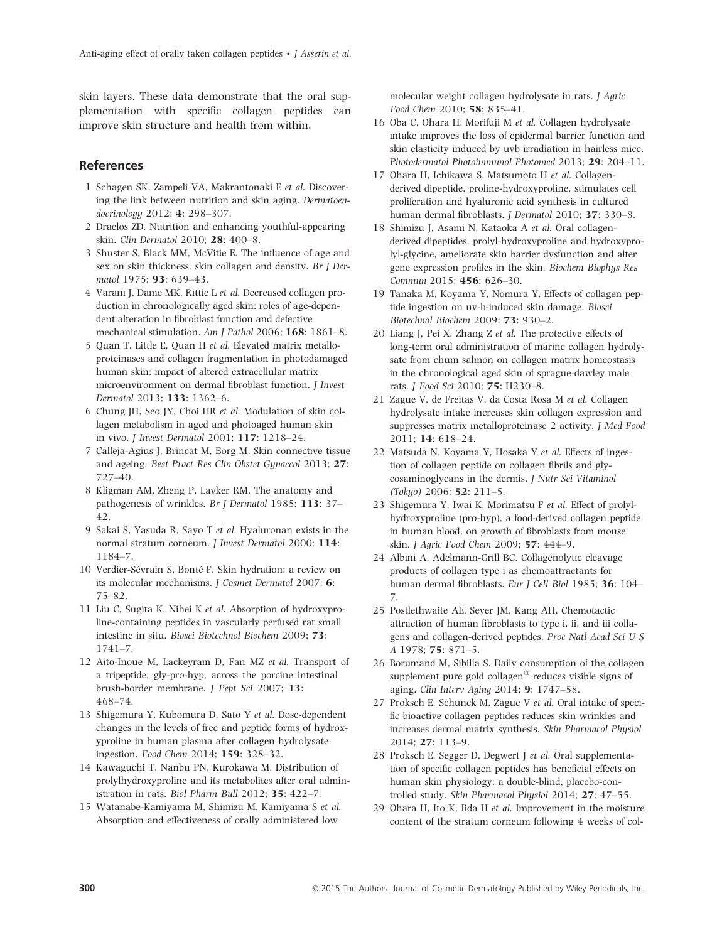skin layers. These data demonstrate that the oral supplementation with specific collagen peptides can improve skin structure and health from within.

# References

- 1 Schagen SK, Zampeli VA, Makrantonaki E et al. Discovering the link between nutrition and skin aging. Dermatoendocrinology 2012; 4: 298–307.
- 2 Draelos ZD. Nutrition and enhancing youthful-appearing skin. Clin Dermatol 2010; 28: 400–8.
- 3 Shuster S, Black MM, McVitie E. The influence of age and sex on skin thickness, skin collagen and density. Br J Dermatol 1975; 93: 639–43.
- 4 Varani J, Dame MK, Rittie L et al. Decreased collagen production in chronologically aged skin: roles of age-dependent alteration in fibroblast function and defective mechanical stimulation. Am J Pathol 2006; 168: 1861–8.
- 5 Quan T, Little E, Quan H et al. Elevated matrix metalloproteinases and collagen fragmentation in photodamaged human skin: impact of altered extracellular matrix microenvironment on dermal fibroblast function. J Invest Dermatol 2013; 133: 1362–6.
- 6 Chung JH, Seo JY, Choi HR et al. Modulation of skin collagen metabolism in aged and photoaged human skin in vivo. J Invest Dermatol 2001; 117: 1218–24.
- 7 Calleja-Agius J, Brincat M, Borg M. Skin connective tissue and ageing. Best Pract Res Clin Obstet Gynaecol 2013; 27: 727–40.
- 8 Kligman AM, Zheng P, Lavker RM. The anatomy and pathogenesis of wrinkles. Br J Dermatol 1985; 113: 37– 42.
- 9 Sakai S, Yasuda R, Sayo T et al. Hyaluronan exists in the normal stratum corneum. J Invest Dermatol 2000; 114: 1184–7.
- 10 Verdier-Sevrain S, Bonte F. Skin hydration: a review on its molecular mechanisms. J Cosmet Dermatol 2007; 6: 75–82.
- 11 Liu C, Sugita K, Nihei K et al. Absorption of hydroxyproline-containing peptides in vascularly perfused rat small intestine in situ. Biosci Biotechnol Biochem 2009; 73: 1741–7.
- 12 Aito-Inoue M, Lackeyram D, Fan MZ et al. Transport of a tripeptide, gly-pro-hyp, across the porcine intestinal brush-border membrane. J Pept Sci 2007; 13: 468–74.
- 13 Shigemura Y, Kubomura D, Sato Y et al. Dose-dependent changes in the levels of free and peptide forms of hydroxyproline in human plasma after collagen hydrolysate ingestion. Food Chem 2014; 159: 328–32.
- 14 Kawaguchi T, Nanbu PN, Kurokawa M. Distribution of prolylhydroxyproline and its metabolites after oral administration in rats. Biol Pharm Bull 2012; 35: 422–7.
- 15 Watanabe-Kamiyama M, Shimizu M, Kamiyama S et al. Absorption and effectiveness of orally administered low

molecular weight collagen hydrolysate in rats. J Agric Food Chem 2010; 58: 835–41.

- 16 Oba C, Ohara H, Morifuji M et al. Collagen hydrolysate intake improves the loss of epidermal barrier function and skin elasticity induced by uvb irradiation in hairless mice. Photodermatol Photoimmunol Photomed 2013; 29: 204–11.
- 17 Ohara H, Ichikawa S, Matsumoto H et al. Collagenderived dipeptide, proline-hydroxyproline, stimulates cell proliferation and hyaluronic acid synthesis in cultured human dermal fibroblasts. *J Dermatol* 2010; 37: 330-8.
- 18 Shimizu J, Asami N, Kataoka A et al. Oral collagenderived dipeptides, prolyl-hydroxyproline and hydroxyprolyl-glycine, ameliorate skin barrier dysfunction and alter gene expression profiles in the skin. Biochem Biophys Res Commun 2015; 456: 626-30.
- 19 Tanaka M, Koyama Y, Nomura Y. Effects of collagen peptide ingestion on uv-b-induced skin damage. Biosci Biotechnol Biochem 2009; 73: 930–2.
- 20 Liang J, Pei X, Zhang Z et al. The protective effects of long-term oral administration of marine collagen hydrolysate from chum salmon on collagen matrix homeostasis in the chronological aged skin of sprague-dawley male rats. J Food Sci 2010; 75: H230–8.
- 21 Zague V, de Freitas V, da Costa Rosa M et al. Collagen hydrolysate intake increases skin collagen expression and suppresses matrix metalloproteinase 2 activity. J Med Food 2011; 14: 618–24.
- 22 Matsuda N, Koyama Y, Hosaka Y et al. Effects of ingestion of collagen peptide on collagen fibrils and glycosaminoglycans in the dermis. J Nutr Sci Vitaminol (Tokyo) 2006; **52**: 211–5.
- 23 Shigemura Y, Iwai K, Morimatsu F et al. Effect of prolylhydroxyproline (pro-hyp), a food-derived collagen peptide in human blood, on growth of fibroblasts from mouse skin. J Agric Food Chem 2009; 57: 444–9.
- 24 Albini A, Adelmann-Grill BC. Collagenolytic cleavage products of collagen type i as chemoattractants for human dermal fibroblasts. Eur J Cell Biol 1985; 36: 104– 7.
- 25 Postlethwaite AE, Seyer JM, Kang AH. Chemotactic attraction of human fibroblasts to type i, ii, and iii collagens and collagen-derived peptides. Proc Natl Acad Sci U S A 1978; 75: 871–5.
- 26 Borumand M, Sibilla S. Daily consumption of the collagen supplement pure gold collagen<sup>®</sup> reduces visible signs of aging. Clin Interv Aging 2014; 9: 1747–58.
- 27 Proksch E, Schunck M, Zague V et al. Oral intake of specific bioactive collagen peptides reduces skin wrinkles and increases dermal matrix synthesis. Skin Pharmacol Physiol 2014; 27: 113–9.
- 28 Proksch E, Segger D, Degwert J et al. Oral supplementation of specific collagen peptides has beneficial effects on human skin physiology: a double-blind, placebo-controlled study. Skin Pharmacol Physiol 2014; 27: 47–55.
- 29 Ohara H, Ito K, Iida H et al. Improvement in the moisture content of the stratum corneum following 4 weeks of col-